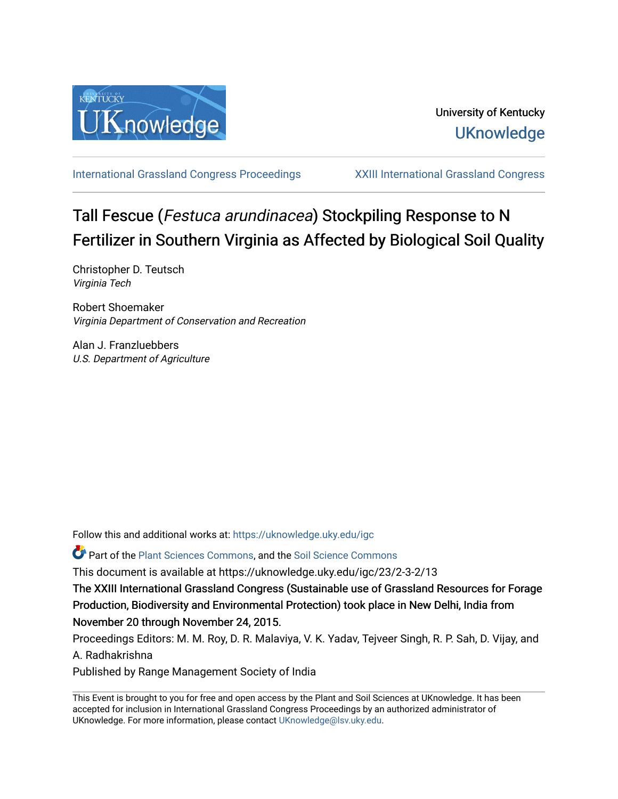

[International Grassland Congress Proceedings](https://uknowledge.uky.edu/igc) [XXIII International Grassland Congress](https://uknowledge.uky.edu/igc/23) 

# Tall Fescue (Festuca arundinacea) Stockpiling Response to N Fertilizer in Southern Virginia as Affected by Biological Soil Quality

Christopher D. Teutsch Virginia Tech

Robert Shoemaker Virginia Department of Conservation and Recreation

Alan J. Franzluebbers U.S. Department of Agriculture

Follow this and additional works at: [https://uknowledge.uky.edu/igc](https://uknowledge.uky.edu/igc?utm_source=uknowledge.uky.edu%2Figc%2F23%2F2-3-2%2F13&utm_medium=PDF&utm_campaign=PDFCoverPages) 

Part of the [Plant Sciences Commons](http://network.bepress.com/hgg/discipline/102?utm_source=uknowledge.uky.edu%2Figc%2F23%2F2-3-2%2F13&utm_medium=PDF&utm_campaign=PDFCoverPages), and the [Soil Science Commons](http://network.bepress.com/hgg/discipline/163?utm_source=uknowledge.uky.edu%2Figc%2F23%2F2-3-2%2F13&utm_medium=PDF&utm_campaign=PDFCoverPages) 

This document is available at https://uknowledge.uky.edu/igc/23/2-3-2/13

The XXIII International Grassland Congress (Sustainable use of Grassland Resources for Forage Production, Biodiversity and Environmental Protection) took place in New Delhi, India from November 20 through November 24, 2015.

Proceedings Editors: M. M. Roy, D. R. Malaviya, V. K. Yadav, Tejveer Singh, R. P. Sah, D. Vijay, and A. Radhakrishna

Published by Range Management Society of India

This Event is brought to you for free and open access by the Plant and Soil Sciences at UKnowledge. It has been accepted for inclusion in International Grassland Congress Proceedings by an authorized administrator of UKnowledge. For more information, please contact [UKnowledge@lsv.uky.edu](mailto:UKnowledge@lsv.uky.edu).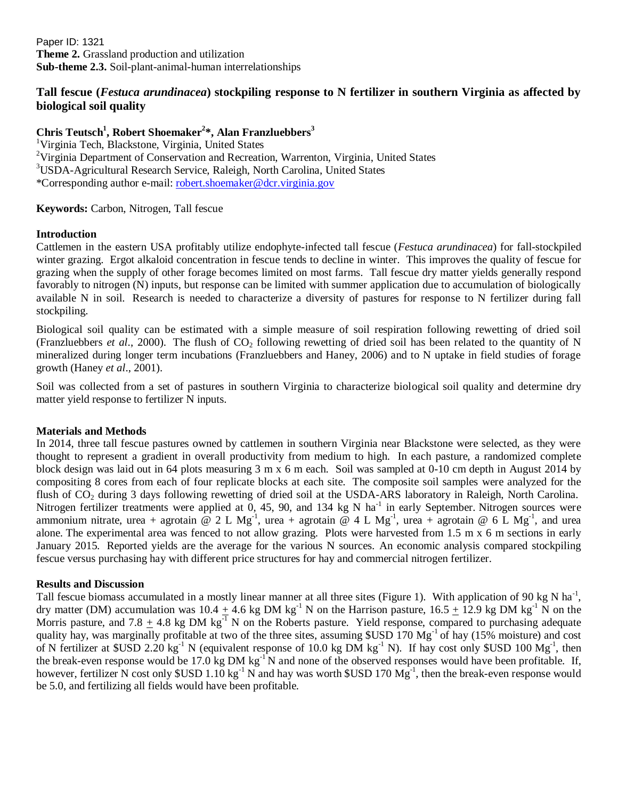Paper ID: 1321 **Theme 2.** Grassland production and utilization **Sub-theme 2.3.** Soil-plant-animal-human interrelationships

## **Tall fescue (***Festuca arundinacea***) stockpiling response to N fertilizer in southern Virginia as affected by biological soil quality**

# **Chris Teutsch<sup>1</sup> , Robert Shoemaker<sup>2</sup> \*, Alan Franzluebbers<sup>3</sup>**

<sup>1</sup>Virginia Tech, Blackstone, Virginia, United States <sup>2</sup>Virginia Department of Conservation and Recreation, Warrenton, Virginia, United States <sup>3</sup>USDA-Agricultural Research Service, Raleigh, North Carolina, United States \*Corresponding author e-mail: [robert.shoemaker@dcr.virginia.gov](mailto:robert.shoemaker@dcr.virginia.gov)

**Keywords:** Carbon, Nitrogen, Tall fescue

### **Introduction**

Cattlemen in the eastern USA profitably utilize endophyte-infected tall fescue (*Festuca arundinacea*) for fall-stockpiled winter grazing. Ergot alkaloid concentration in fescue tends to decline in winter. This improves the quality of fescue for grazing when the supply of other forage becomes limited on most farms. Tall fescue dry matter yields generally respond favorably to nitrogen (N) inputs, but response can be limited with summer application due to accumulation of biologically available N in soil. Research is needed to characterize a diversity of pastures for response to N fertilizer during fall stockpiling.

Biological soil quality can be estimated with a simple measure of soil respiration following rewetting of dried soil (Franzluebbers *et al.*, 2000). The flush of  $CO<sub>2</sub>$  following rewetting of dried soil has been related to the quantity of N mineralized during longer term incubations (Franzluebbers and Haney, 2006) and to N uptake in field studies of forage growth (Haney *et al*., 2001).

Soil was collected from a set of pastures in southern Virginia to characterize biological soil quality and determine dry matter yield response to fertilizer N inputs.

### **Materials and Methods**

In 2014, three tall fescue pastures owned by cattlemen in southern Virginia near Blackstone were selected, as they were thought to represent a gradient in overall productivity from medium to high. In each pasture, a randomized complete block design was laid out in 64 plots measuring 3 m x 6 m each. Soil was sampled at 0-10 cm depth in August 2014 by compositing 8 cores from each of four replicate blocks at each site. The composite soil samples were analyzed for the flush of  $CO<sub>2</sub>$  during 3 days following rewetting of dried soil at the USDA-ARS laboratory in Raleigh, North Carolina. Nitrogen fertilizer treatments were applied at  $0, 45, 90$ , and  $134$  kg N ha<sup>-1</sup> in early September. Nitrogen sources were ammonium nitrate, urea + agrotain @ 2 L Mg<sup>-1</sup>, urea + agrotain @ 4 L Mg<sup>-1</sup>, urea + agrotain @ 6 L Mg<sup>-1</sup>, and urea alone. The experimental area was fenced to not allow grazing. Plots were harvested from 1.5 m x 6 m sections in early January 2015. Reported yields are the average for the various N sources. An economic analysis compared stockpiling fescue versus purchasing hay with different price structures for hay and commercial nitrogen fertilizer.

### **Results and Discussion**

Tall fescue biomass accumulated in a mostly linear manner at all three sites (Figure 1). With application of 90 kg N ha<sup>-1</sup>, dry matter (DM) accumulation was  $10.4 + 4.6$  kg DM kg<sup>-1</sup> N on the Harrison pasture,  $16.5 + 12.9$  kg DM kg<sup>-1</sup> N on the Morris pasture, and  $7.8 + 4.8$  kg DM kg<sup>-1</sup> N on the Roberts pasture. Yield response, compared to purchasing adequate quality hay, was marginally profitable at two of the three sites, assuming  $\text{SUSD }170 \text{ Mg}^{-1}$  of hay (15% moisture) and cost of N fertilizer at  $SUSD$  2.20 kg<sup>-1</sup> N (equivalent response of 10.0 kg DM kg<sup>-1</sup> N). If hay cost only  $SUSD$  100 Mg<sup>-1</sup>, then the break-even response would be 17.0 kg DM  $kg^{-1}N$  and none of the observed responses would have been profitable. If, however, fertilizer N cost only \$USD 1.10 kg<sup>-1</sup> N and hay was worth \$USD 170  $Mg^{-1}$ , then the break-even response would be 5.0, and fertilizing all fields would have been profitable.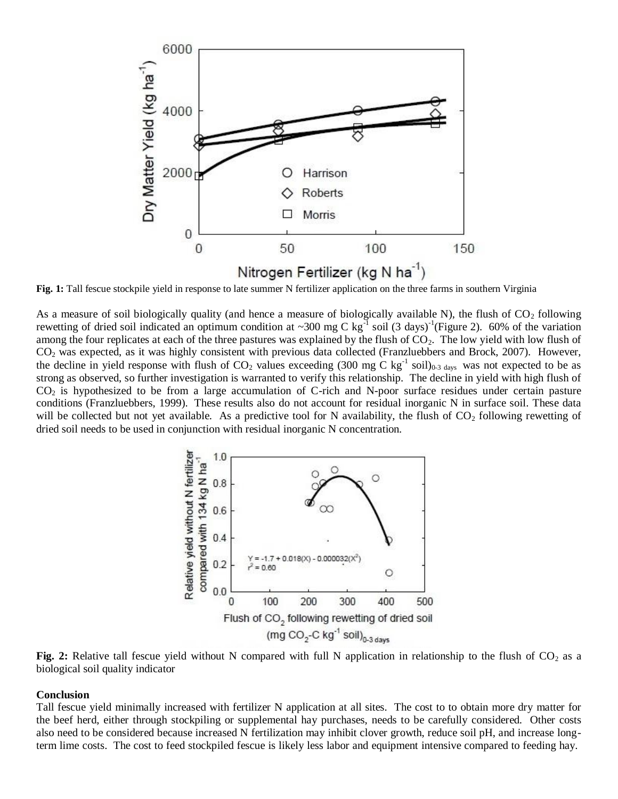

Fig. 1: Tall fescue stockpile yield in response to late summer N fertilizer application on the three farms in southern Virginia

As a measure of soil biologically quality (and hence a measure of biologically available N), the flush of  $CO<sub>2</sub>$  following rewetting of dried soil indicated an optimum condition at ~300 mg C kg<sup>-1</sup> soil (3 days)<sup>-1</sup>(Figure 2). 60% of the variation among the four replicates at each of the three pastures was explained by the flush of  $CO<sub>2</sub>$ . The low yield with low flush of CO<sup>2</sup> was expected, as it was highly consistent with previous data collected (Franzluebbers and Brock, 2007). However, the decline in yield response with flush of  $CO_2$  values exceeding (300 mg C kg<sup>-1</sup> soil)<sub>0-3 days</sub> was not expected to be as strong as observed, so further investigation is warranted to verify this relationship. The decline in yield with high flush of  $CO<sub>2</sub>$  is hypothesized to be from a large accumulation of C-rich and N-poor surface residues under certain pasture conditions (Franzluebbers, 1999). These results also do not account for residual inorganic N in surface soil. These data will be collected but not yet available. As a predictive tool for N availability, the flush of  $CO_2$  following rewetting of dried soil needs to be used in conjunction with residual inorganic N concentration.



Fig. 2: Relative tall fescue yield without N compared with full N application in relationship to the flush of CO<sub>2</sub> as a biological soil quality indicator

#### **Conclusion**

Tall fescue yield minimally increased with fertilizer N application at all sites. The cost to to obtain more dry matter for the beef herd, either through stockpiling or supplemental hay purchases, needs to be carefully considered. Other costs also need to be considered because increased N fertilization may inhibit clover growth, reduce soil pH, and increase longterm lime costs. The cost to feed stockpiled fescue is likely less labor and equipment intensive compared to feeding hay.